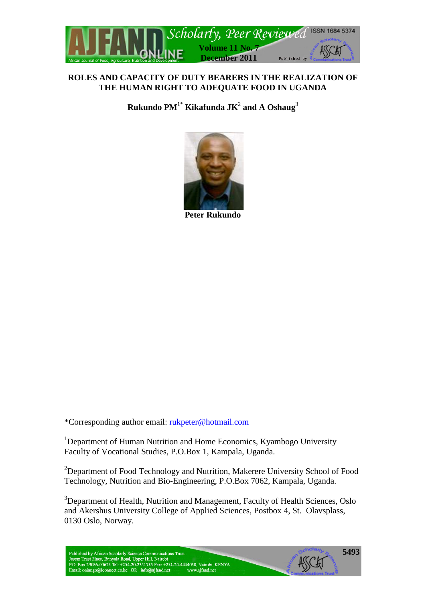

## **ROLES AND CAPACITY OF DUTY BEARERS IN THE REALIZATION OF THE HUMAN RIGHT TO ADEQUATE FOOD IN UGANDA**

**Rukundo PM**1\* **Kikafunda JK**<sup>2</sup> **and A Oshaug**<sup>3</sup>



**Peter Rukundo**

\*Corresponding author email: [rukpeter@hotmail.com](mailto:rukpeter@hotmail.com)

<sup>1</sup>Department of Human Nutrition and Home Economics, Kyambogo University Faculty of Vocational Studies, P.O.Box 1, Kampala, Uganda.

<sup>2</sup>Department of Food Technology and Nutrition, Makerere University School of Food Technology, Nutrition and Bio-Engineering, P.O.Box 7062, Kampala, Uganda.

<sup>3</sup>Department of Health, Nutrition and Management, Faculty of Health Sciences, Oslo and Akershus University College of Applied Sciences, Postbox 4, St. Olavsplass, 0130 Oslo, Norway.

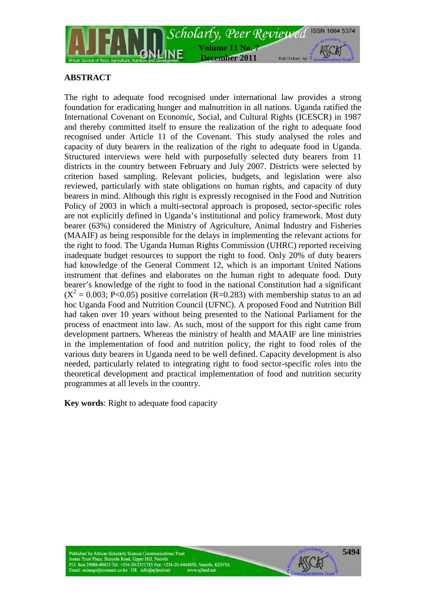

# **ABSTRACT**

The right to adequate food recognised under international law provides a strong foundation for eradicating hunger and malnutrition in all nations. Uganda ratified the International Covenant on Economic, Social, and Cultural Rights (ICESCR) in 1987 and thereby committed itself to ensure the realization of the right to adequate food recognised under Article 11 of the Covenant. This study analysed the roles and capacity of duty bearers in the realization of the right to adequate food in Uganda. Structured interviews were held with purposefully selected duty bearers from 11 districts in the country between February and July 2007. Districts were selected by criterion based sampling. Relevant policies, budgets, and legislation were also reviewed, particularly with state obligations on human rights, and capacity of duty bearers in mind. Although this right is expressly recognised in the Food and Nutrition Policy of 2003 in which a multi-sectoral approach is proposed, sector-specific roles are not explicitly defined in Uganda's institutional and policy framework. Most duty bearer (63%) considered the Ministry of Agriculture, Animal Industry and Fisheries (MAAIF) as being responsible for the delays in implementing the relevant actions for the right to food. The Uganda Human Rights Commission (UHRC) reported receiving inadequate budget resources to support the right to food. Only 20% of duty bearers had knowledge of the General Comment 12, which is an important United Nations instrument that defines and elaborates on the human right to adequate food. Duty bearer's knowledge of the right to food in the national Constitution had a significant  $(X^2 = 0.003; P<0.05)$  positive correlation (R=0.283) with membership status to an ad hoc Uganda Food and Nutrition Council (UFNC). A proposed Food and Nutrition Bill had taken over 10 years without being presented to the National Parliament for the process of enactment into law. As such, most of the support for this right came from development partners. Whereas the ministry of health and MAAIF are line ministries in the implementation of food and nutrition policy, the right to food roles of the various duty bearers in Uganda need to be well defined. Capacity development is also needed, particularly related to integrating right to food sector-specific roles into the theoretical development and practical implementation of food and nutrition security programmes at all levels in the country.

**Key words**: Right to adequate food capacity

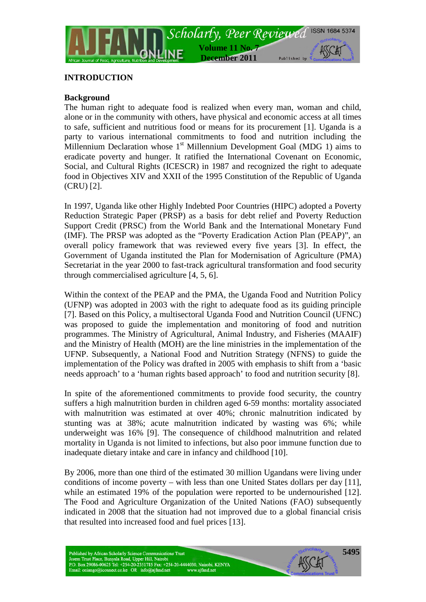

## **INTRODUCTION**

## **Background**

The human right to adequate food is realized when every man, woman and child, alone or in the community with others, have physical and economic access at all times to safe, sufficient and nutritious food or means for its procurement [1]. Uganda is a party to various international commitments to food and nutrition including the Millennium Declaration whose  $1<sup>st</sup>$  Millennium Development Goal (MDG 1) aims to eradicate poverty and hunger. It ratified the International Covenant on Economic, Social, and Cultural Rights (ICESCR) in 1987 and recognized the right to adequate food in Objectives XIV and XXII of the 1995 Constitution of the Republic of Uganda (CRU) [2].

In 1997, Uganda like other Highly Indebted Poor Countries (HIPC) adopted a Poverty Reduction Strategic Paper (PRSP) as a basis for debt relief and Poverty Reduction Support Credit (PRSC) from the World Bank and the International Monetary Fund (IMF). The PRSP was adopted as the "Poverty Eradication Action Plan (PEAP)", an overall policy framework that was reviewed every five years [3]. In effect, the Government of Uganda instituted the Plan for Modernisation of Agriculture (PMA) Secretariat in the year 2000 to fast-track agricultural transformation and food security through commercialised agriculture [4, 5, 6].

Within the context of the PEAP and the PMA, the Uganda Food and Nutrition Policy (UFNP) was adopted in 2003 with the right to adequate food as its guiding principle [7]. Based on this Policy, a multisectoral Uganda Food and Nutrition Council (UFNC) was proposed to guide the implementation and monitoring of food and nutrition programmes. The Ministry of Agricultural, Animal Industry, and Fisheries (MAAIF) and the Ministry of Health (MOH) are the line ministries in the implementation of the UFNP. Subsequently, a National Food and Nutrition Strategy (NFNS) to guide the implementation of the Policy was drafted in 2005 with emphasis to shift from a 'basic needs approach' to a 'human rights based approach' to food and nutrition security [8].

In spite of the aforementioned commitments to provide food security, the country suffers a high malnutrition burden in children aged 6-59 months: mortality associated with malnutrition was estimated at over 40%; chronic malnutrition indicated by stunting was at 38%; acute malnutrition indicated by wasting was 6%; while underweight was 16% [9]. The consequence of childhood malnutrition and related mortality in Uganda is not limited to infections, but also poor immune function due to inadequate dietary intake and care in infancy and childhood [10].

By 2006, more than one third of the estimated 30 million Ugandans were living under conditions of income poverty – with less than one United States dollars per day [11], while an estimated 19% of the population were reported to be undernourished [12]. The Food and Agriculture Organization of the United Nations (FAO) subsequently indicated in 2008 that the situation had not improved due to a global financial crisis that resulted into increased food and fuel prices [13].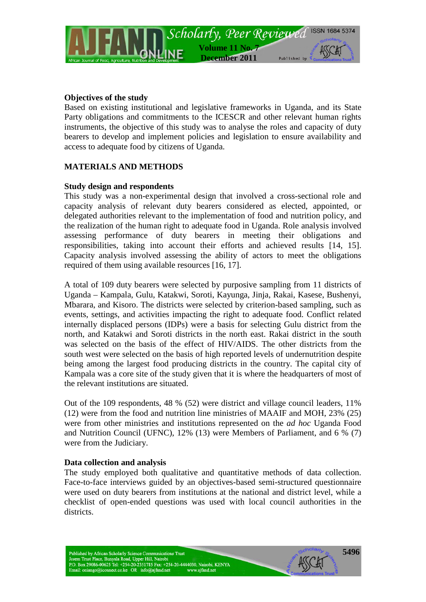

### **Objectives of the study**

Based on existing institutional and legislative frameworks in Uganda, and its State Party obligations and commitments to the ICESCR and other relevant human rights instruments, the objective of this study was to analyse the roles and capacity of duty bearers to develop and implement policies and legislation to ensure availability and access to adequate food by citizens of Uganda.

### **MATERIALS AND METHODS**

### **Study design and respondents**

This study was a non-experimental design that involved a cross-sectional role and capacity analysis of relevant duty bearers considered as elected, appointed, or delegated authorities relevant to the implementation of food and nutrition policy, and the realization of the human right to adequate food in Uganda. Role analysis involved assessing performance of duty bearers in meeting their obligations and responsibilities, taking into account their efforts and achieved results [14, 15]. Capacity analysis involved assessing the ability of actors to meet the obligations required of them using available resources [16, 17].

A total of 109 duty bearers were selected by purposive sampling from 11 districts of Uganda – Kampala, Gulu, Katakwi, Soroti, Kayunga, Jinja, Rakai, Kasese, Bushenyi, Mbarara, and Kisoro. The districts were selected by criterion-based sampling, such as events, settings, and activities impacting the right to adequate food. Conflict related internally displaced persons (IDPs) were a basis for selecting Gulu district from the north, and Katakwi and Soroti districts in the north east. Rakai district in the south was selected on the basis of the effect of HIV/AIDS. The other districts from the south west were selected on the basis of high reported levels of undernutrition despite being among the largest food producing districts in the country. The capital city of Kampala was a core site of the study given that it is where the headquarters of most of the relevant institutions are situated.

Out of the 109 respondents, 48 % (52) were district and village council leaders, 11% (12) were from the food and nutrition line ministries of MAAIF and MOH, 23% (25) were from other ministries and institutions represented on the *ad hoc* Uganda Food and Nutrition Council (UFNC), 12% (13) were Members of Parliament, and 6 % (7) were from the Judiciary.

#### **Data collection and analysis**

The study employed both qualitative and quantitative methods of data collection. Face-to-face interviews guided by an objectives-based semi-structured questionnaire were used on duty bearers from institutions at the national and district level, while a checklist of open-ended questions was used with local council authorities in the districts.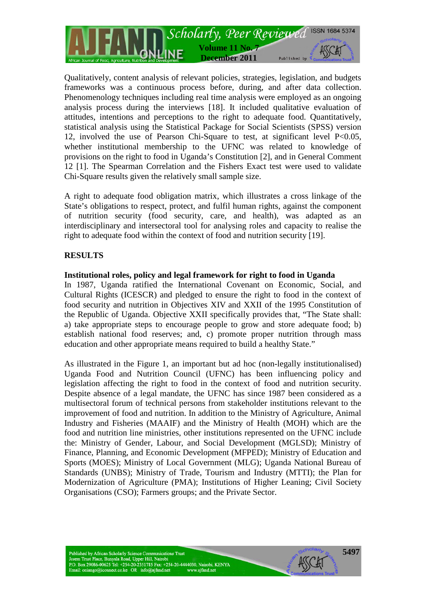

Qualitatively, content analysis of relevant policies, strategies, legislation, and budgets frameworks was a continuous process before, during, and after data collection. Phenomenology techniques including real time analysis were employed as an ongoing analysis process during the interviews [18]. It included qualitative evaluation of attitudes, intentions and perceptions to the right to adequate food. Quantitatively, statistical analysis using the Statistical Package for Social Scientists (SPSS) version 12, involved the use of Pearson Chi-Square to test, at significant level P<0.05, whether institutional membership to the UFNC was related to knowledge of provisions on the right to food in Uganda's Constitution [2], and in General Comment 12 [1]. The Spearman Correlation and the Fishers Exact test were used to validate Chi-Square results given the relatively small sample size.

A right to adequate food obligation matrix, which illustrates a cross linkage of the State's obligations to respect, protect, and fulfil human rights, against the component of nutrition security (food security, care, and health), was adapted as an interdisciplinary and intersectoral tool for analysing roles and capacity to realise the right to adequate food within the context of food and nutrition security [19].

## **RESULTS**

#### **Institutional roles, policy and legal framework for right to food in Uganda**

In 1987, Uganda ratified the International Covenant on Economic, Social, and Cultural Rights (ICESCR) and pledged to ensure the right to food in the context of food security and nutrition in Objectives XIV and XXII of the 1995 Constitution of the Republic of Uganda. Objective XXII specifically provides that, "The State shall: a) take appropriate steps to encourage people to grow and store adequate food; b) establish national food reserves; and, c) promote proper nutrition through mass education and other appropriate means required to build a healthy State."

As illustrated in the Figure 1, an important but ad hoc (non-legally institutionalised) Uganda Food and Nutrition Council (UFNC) has been influencing policy and legislation affecting the right to food in the context of food and nutrition security. Despite absence of a legal mandate, the UFNC has since 1987 been considered as a multisectoral forum of technical persons from stakeholder institutions relevant to the improvement of food and nutrition. In addition to the Ministry of Agriculture, Animal Industry and Fisheries (MAAIF) and the Ministry of Health (MOH) which are the food and nutrition line ministries, other institutions represented on the UFNC include the: Ministry of Gender, Labour, and Social Development (MGLSD); Ministry of Finance, Planning, and Economic Development (MFPED); Ministry of Education and Sports (MOES); Ministry of Local Government (MLG); Uganda National Bureau of Standards (UNBS); Ministry of Trade, Tourism and Industry (MTTI); the Plan for Modernization of Agriculture (PMA); Institutions of Higher Leaning; Civil Society Organisations (CSO); Farmers groups; and the Private Sector.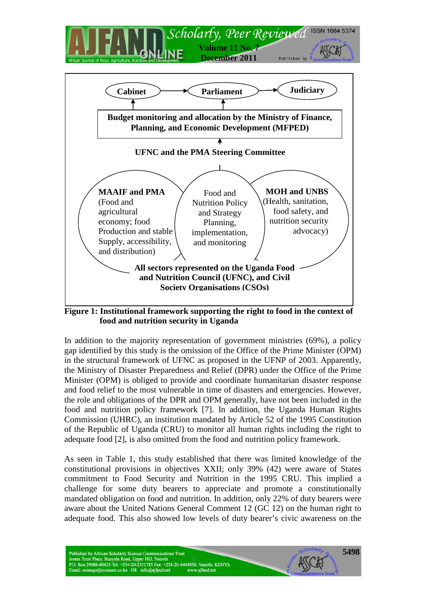

**Figure 1: Institutional framework supporting the right to food in the context of food and nutrition security in Uganda**

In addition to the majority representation of government ministries (69%), a policy gap identified by this study is the omission of the Office of the Prime Minister (OPM) in the structural framework of UFNC as proposed in the UFNP of 2003. Apparently, the Ministry of Disaster Preparedness and Relief (DPR) under the Office of the Prime Minister (OPM) is obliged to provide and coordinate humanitarian disaster response and food relief to the most vulnerable in time of disasters and emergencies. However, the role and obligations of the DPR and OPM generally, have not been included in the food and nutrition policy framework [7]. In addition, the Uganda Human Rights Commission (UHRC), an institution mandated by Article 52 of the 1995 Constitution of the Republic of Uganda (CRU) to monitor all human rights including the right to adequate food [2], is also omitted from the food and nutrition policy framework.

As seen in Table 1, this study established that there was limited knowledge of the constitutional provisions in objectives XXII; only 39% (42) were aware of States commitment to Food Security and Nutrition in the 1995 CRU. This implied a challenge for some duty bearers to appreciate and promote a constitutionally mandated obligation on food and nutrition. In addition, only 22% of duty bearers were aware about the United Nations General Comment 12 (GC 12) on the human right to adequate food. This also showed low levels of duty bearer's civic awareness on the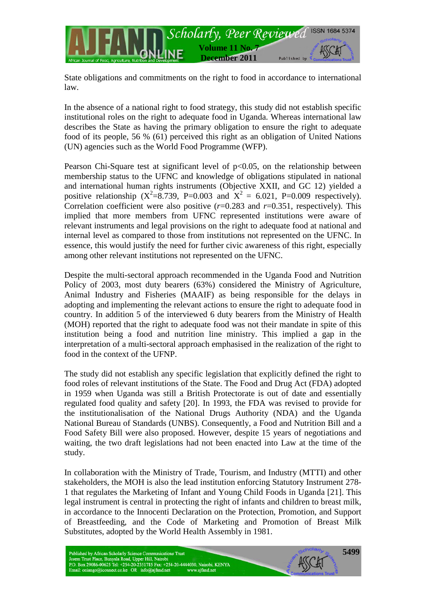

State obligations and commitments on the right to food in accordance to international law.

In the absence of a national right to food strategy, this study did not establish specific institutional roles on the right to adequate food in Uganda. Whereas international law describes the State as having the primary obligation to ensure the right to adequate food of its people, 56 % (61) perceived this right as an obligation of United Nations (UN) agencies such as the World Food Programme (WFP).

Pearson Chi-Square test at significant level of  $p<0.05$ , on the relationship between membership status to the UFNC and knowledge of obligations stipulated in national and international human rights instruments (Objective XXII, and GC 12) yielded a positive relationship ( $X^2 = 8.739$ , P=0.003 and  $X^2 = 6.021$ , P=0.009 respectively). Correlation coefficient were also positive  $(r=0.283$  and  $r=0.351$ , respectively). This implied that more members from UFNC represented institutions were aware of relevant instruments and legal provisions on the right to adequate food at national and internal level as compared to those from institutions not represented on the UFNC. In essence, this would justify the need for further civic awareness of this right, especially among other relevant institutions not represented on the UFNC.

Despite the multi-sectoral approach recommended in the Uganda Food and Nutrition Policy of 2003, most duty bearers (63%) considered the Ministry of Agriculture, Animal Industry and Fisheries (MAAIF) as being responsible for the delays in adopting and implementing the relevant actions to ensure the right to adequate food in country. In addition 5 of the interviewed 6 duty bearers from the Ministry of Health (MOH) reported that the right to adequate food was not their mandate in spite of this institution being a food and nutrition line ministry. This implied a gap in the interpretation of a multi-sectoral approach emphasised in the realization of the right to food in the context of the UFNP.

The study did not establish any specific legislation that explicitly defined the right to food roles of relevant institutions of the State. The Food and Drug Act (FDA) adopted in 1959 when Uganda was still a British Protectorate is out of date and essentially regulated food quality and safety [20]. In 1993, the FDA was revised to provide for the institutionalisation of the National Drugs Authority (NDA) and the Uganda National Bureau of Standards (UNBS). Consequently, a Food and Nutrition Bill and a Food Safety Bill were also proposed. However, despite 15 years of negotiations and waiting, the two draft legislations had not been enacted into Law at the time of the study.

In collaboration with the Ministry of Trade, Tourism, and Industry (MTTI) and other stakeholders, the MOH is also the lead institution enforcing Statutory Instrument 278- 1 that regulates the Marketing of Infant and Young Child Foods in Uganda [21]. This legal instrument is central in protecting the right of infants and children to breast milk, in accordance to the Innocenti Declaration on the Protection, Promotion, and Support of Breastfeeding, and the Code of Marketing and Promotion of Breast Milk Substitutes, adopted by the World Health Assembly in 1981.

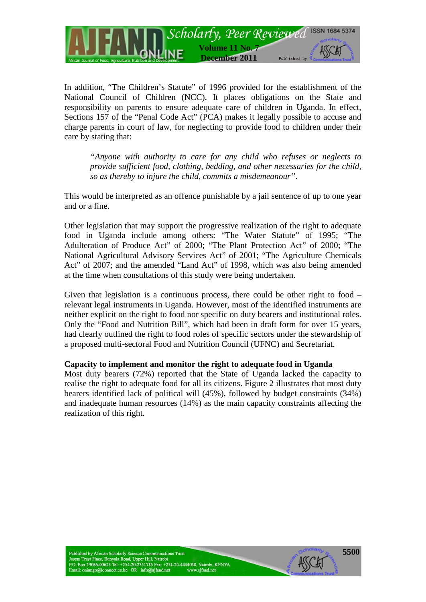

In addition, "The Children's Statute" of 1996 provided for the establishment of the National Council of Children (NCC). It places obligations on the State and responsibility on parents to ensure adequate care of children in Uganda. In effect, Sections 157 of the "Penal Code Act" (PCA) makes it legally possible to accuse and charge parents in court of law, for neglecting to provide food to children under their care by stating that:

*"Anyone with authority to care for any child who refuses or neglects to provide sufficient food, clothing, bedding, and other necessaries for the child, so as thereby to injure the child, commits a misdemeanour"*.

This would be interpreted as an offence punishable by a jail sentence of up to one year and or a fine.

Other legislation that may support the progressive realization of the right to adequate food in Uganda include among others: "The Water Statute" of 1995; "The Adulteration of Produce Act" of 2000; "The Plant Protection Act" of 2000; "The National Agricultural Advisory Services Act" of 2001; "The Agriculture Chemicals Act" of 2007; and the amended "Land Act" of 1998, which was also being amended at the time when consultations of this study were being undertaken.

Given that legislation is a continuous process, there could be other right to food – relevant legal instruments in Uganda. However, most of the identified instruments are neither explicit on the right to food nor specific on duty bearers and institutional roles. Only the "Food and Nutrition Bill", which had been in draft form for over 15 years, had clearly outlined the right to food roles of specific sectors under the stewardship of a proposed multi-sectoral Food and Nutrition Council (UFNC) and Secretariat.

#### **Capacity to implement and monitor the right to adequate food in Uganda**

Most duty bearers (72%) reported that the State of Uganda lacked the capacity to realise the right to adequate food for all its citizens. Figure 2 illustrates that most duty bearers identified lack of political will (45%), followed by budget constraints (34%) and inadequate human resources (14%) as the main capacity constraints affecting the realization of this right.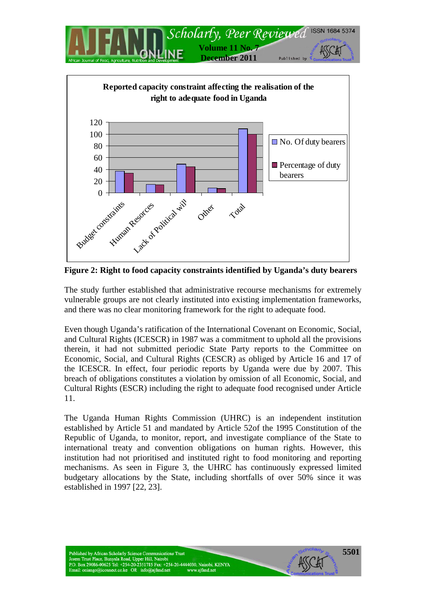



**Figure 2: Right to food capacity constraints identified by Uganda's duty bearers**

The study further established that administrative recourse mechanisms for extremely vulnerable groups are not clearly instituted into existing implementation frameworks, and there was no clear monitoring framework for the right to adequate food.

Even though Uganda's ratification of the International Covenant on Economic, Social, and Cultural Rights (ICESCR) in 1987 was a commitment to uphold all the provisions therein, it had not submitted periodic State Party reports to the Committee on Economic, Social, and Cultural Rights (CESCR) as obliged by Article 16 and 17 of the ICESCR. In effect, four periodic reports by Uganda were due by 2007. This breach of obligations constitutes a violation by omission of all Economic, Social, and Cultural Rights (ESCR) including the right to adequate food recognised under Article 11.

The Uganda Human Rights Commission (UHRC) is an independent institution established by Article 51 and mandated by Article 52of the 1995 Constitution of the Republic of Uganda, to monitor, report, and investigate compliance of the State to international treaty and convention obligations on human rights. However, this institution had not prioritised and instituted right to food monitoring and reporting mechanisms. As seen in Figure 3, the UHRC has continuously expressed limited budgetary allocations by the State, including shortfalls of over 50% since it was established in 1997 [22, 23].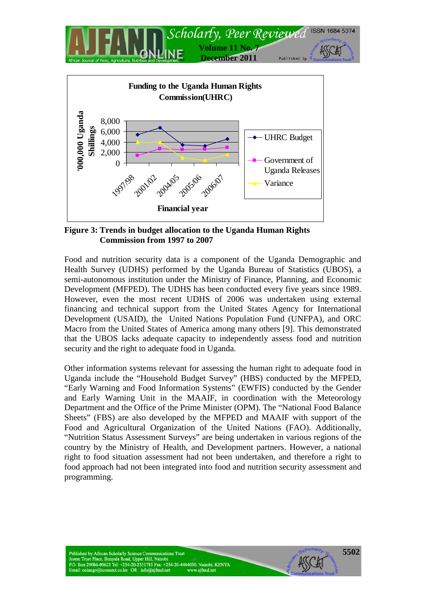

**Figure 3: Trends in budget allocation to the Uganda Human Rights Commission from 1997 to 2007**

**Financial year**

Food and nutrition security data is a component of the Uganda Demographic and Health Survey (UDHS) performed by the Uganda Bureau of Statistics (UBOS), a semi-autonomous institution under the Ministry of Finance, Planning, and Economic Development (MFPED). The UDHS has been conducted every five years since 1989. However, even the most recent UDHS of 2006 was undertaken using external financing and technical support from the United States Agency for International Development (USAID), the United Nations Population Fund (UNFPA), and ORC Macro from the United States of America among many others [9]. This demonstrated that the UBOS lacks adequate capacity to independently assess food and nutrition security and the right to adequate food in Uganda.

Other information systems relevant for assessing the human right to adequate food in Uganda include the "Household Budget Survey" (HBS) conducted by the MFPED, "Early Warning and Food Information Systems" (EWFIS) conducted by the Gender and Early Warning Unit in the MAAIF, in coordination with the Meteorology Department and the Office of the Prime Minister (OPM). The "National Food Balance Sheets" (FBS) are also developed by the MFPED and MAAIF with support of the Food and Agricultural Organization of the United Nations (FAO). Additionally, "Nutrition Status Assessment Surveys" are being undertaken in various regions of the country by the Ministry of Health, and Development partners. However, a national right to food situation assessment had not been undertaken, and therefore a right to food approach had not been integrated into food and nutrition security assessment and programming.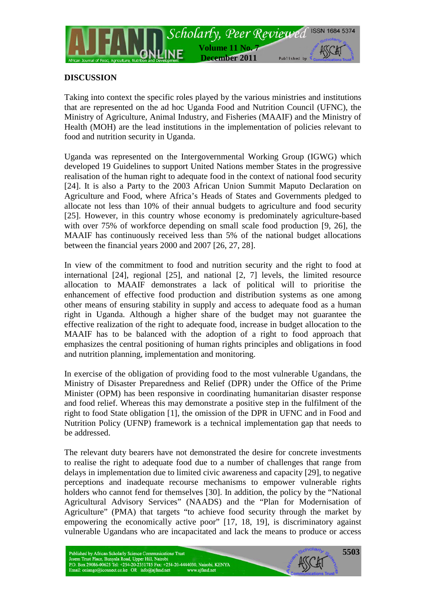

## **DISCUSSION**

Taking into context the specific roles played by the various ministries and institutions that are represented on the ad hoc Uganda Food and Nutrition Council (UFNC), the Ministry of Agriculture, Animal Industry, and Fisheries (MAAIF) and the Ministry of Health (MOH) are the lead institutions in the implementation of policies relevant to food and nutrition security in Uganda.

Uganda was represented on the Intergovernmental Working Group (IGWG) which developed 19 Guidelines to support United Nations member States in the progressive realisation of the human right to adequate food in the context of national food security [24]. It is also a Party to the 2003 African Union Summit Maputo Declaration on Agriculture and Food, where Africa's Heads of States and Governments pledged to allocate not less than 10% of their annual budgets to agriculture and food security [25]. However, in this country whose economy is predominately agriculture-based with over 75% of workforce depending on small scale food production [9, 26], the MAAIF has continuously received less than 5% of the national budget allocations between the financial years 2000 and 2007 [26, 27, 28].

In view of the commitment to food and nutrition security and the right to food at international [24], regional [25], and national [2, 7] levels, the limited resource allocation to MAAIF demonstrates a lack of political will to prioritise the enhancement of effective food production and distribution systems as one among other means of ensuring stability in supply and access to adequate food as a human right in Uganda. Although a higher share of the budget may not guarantee the effective realization of the right to adequate food, increase in budget allocation to the MAAIF has to be balanced with the adoption of a right to food approach that emphasizes the central positioning of human rights principles and obligations in food and nutrition planning, implementation and monitoring.

In exercise of the obligation of providing food to the most vulnerable Ugandans, the Ministry of Disaster Preparedness and Relief (DPR) under the Office of the Prime Minister (OPM) has been responsive in coordinating humanitarian disaster response and food relief. Whereas this may demonstrate a positive step in the fulfilment of the right to food State obligation [1], the omission of the DPR in UFNC and in Food and Nutrition Policy (UFNP) framework is a technical implementation gap that needs to be addressed.

The relevant duty bearers have not demonstrated the desire for concrete investments to realise the right to adequate food due to a number of challenges that range from delays in implementation due to limited civic awareness and capacity [29], to negative perceptions and inadequate recourse mechanisms to empower vulnerable rights holders who cannot fend for themselves [30]. In addition, the policy by the "National Agricultural Advisory Services" (NAADS) and the "Plan for Modernisation of Agriculture" (PMA) that targets "to achieve food security through the market by empowering the economically active poor" [17, 18, 19], is discriminatory against vulnerable Ugandans who are incapacitated and lack the means to produce or access

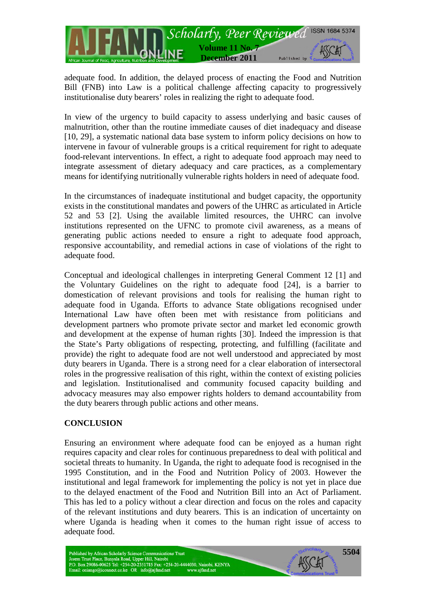

adequate food. In addition, the delayed process of enacting the Food and Nutrition Bill (FNB) into Law is a political challenge affecting capacity to progressively institutionalise duty bearers' roles in realizing the right to adequate food.

In view of the urgency to build capacity to assess underlying and basic causes of malnutrition, other than the routine immediate causes of diet inadequacy and disease [10, 29], a systematic national data base system to inform policy decisions on how to intervene in favour of vulnerable groups is a critical requirement for right to adequate food-relevant interventions. In effect, a right to adequate food approach may need to integrate assessment of dietary adequacy and care practices, as a complementary means for identifying nutritionally vulnerable rights holders in need of adequate food.

In the circumstances of inadequate institutional and budget capacity, the opportunity exists in the constitutional mandates and powers of the UHRC as articulated in Article 52 and 53 [2]. Using the available limited resources, the UHRC can involve institutions represented on the UFNC to promote civil awareness, as a means of generating public actions needed to ensure a right to adequate food approach, responsive accountability, and remedial actions in case of violations of the right to adequate food.

Conceptual and ideological challenges in interpreting General Comment 12 [1] and the Voluntary Guidelines on the right to adequate food [24], is a barrier to domestication of relevant provisions and tools for realising the human right to adequate food in Uganda. Efforts to advance State obligations recognised under International Law have often been met with resistance from politicians and development partners who promote private sector and market led economic growth and development at the expense of human rights [30]. Indeed the impression is that the State's Party obligations of respecting, protecting, and fulfilling (facilitate and provide) the right to adequate food are not well understood and appreciated by most duty bearers in Uganda. There is a strong need for a clear elaboration of intersectoral roles in the progressive realisation of this right, within the context of existing policies and legislation. Institutionalised and community focused capacity building and advocacy measures may also empower rights holders to demand accountability from the duty bearers through public actions and other means.

## **CONCLUSION**

Ensuring an environment where adequate food can be enjoyed as a human right requires capacity and clear roles for continuous preparedness to deal with political and societal threats to humanity. In Uganda, the right to adequate food is recognised in the 1995 Constitution, and in the Food and Nutrition Policy of 2003. However the institutional and legal framework for implementing the policy is not yet in place due to the delayed enactment of the Food and Nutrition Bill into an Act of Parliament. This has led to a policy without a clear direction and focus on the roles and capacity of the relevant institutions and duty bearers. This is an indication of uncertainty on where Uganda is heading when it comes to the human right issue of access to adequate food.

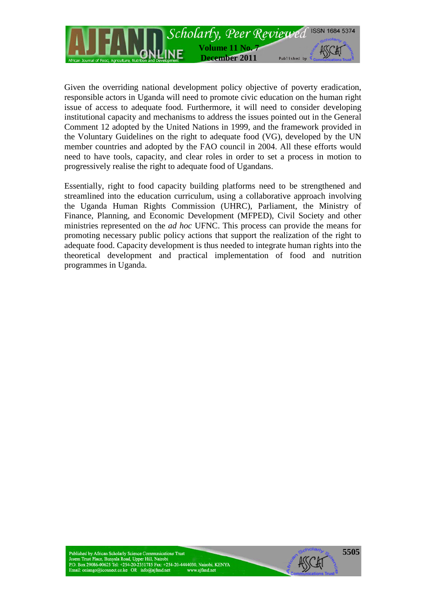

Given the overriding national development policy objective of poverty eradication, responsible actors in Uganda will need to promote civic education on the human right issue of access to adequate food. Furthermore, it will need to consider developing institutional capacity and mechanisms to address the issues pointed out in the General Comment 12 adopted by the United Nations in 1999, and the framework provided in the Voluntary Guidelines on the right to adequate food (VG), developed by the UN member countries and adopted by the FAO council in 2004. All these efforts would need to have tools, capacity, and clear roles in order to set a process in motion to progressively realise the right to adequate food of Ugandans.

Essentially, right to food capacity building platforms need to be strengthened and streamlined into the education curriculum, using a collaborative approach involving the Uganda Human Rights Commission (UHRC), Parliament, the Ministry of Finance, Planning, and Economic Development (MFPED), Civil Society and other ministries represented on the *ad hoc* UFNC. This process can provide the means for promoting necessary public policy actions that support the realization of the right to adequate food. Capacity development is thus needed to integrate human rights into the theoretical development and practical implementation of food and nutrition programmes in Uganda.

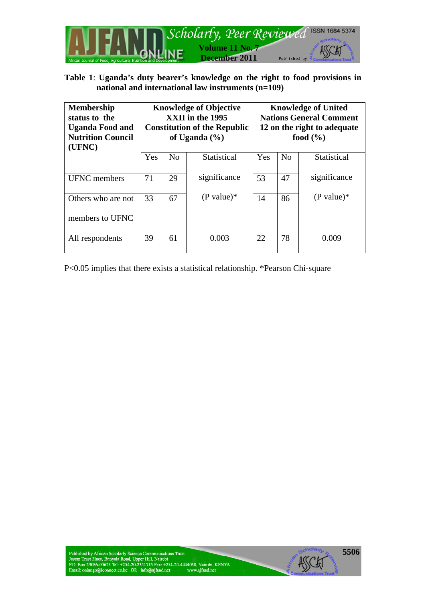

# **Table 1**: **Uganda's duty bearer's knowledge on the right to food provisions in national and international law instruments (n=109)**

| <b>Membership</b><br>status to the<br><b>Uganda Food and</b><br><b>Nutrition Council</b><br>(UFNC) | <b>Knowledge of Objective</b><br>XXII in the 1995<br><b>Constitution of the Republic</b><br>of Uganda $(\% )$ |                |              | <b>Knowledge of United</b><br><b>Nations General Comment</b><br>12 on the right to adequate<br>food $(\% )$ |                |                    |
|----------------------------------------------------------------------------------------------------|---------------------------------------------------------------------------------------------------------------|----------------|--------------|-------------------------------------------------------------------------------------------------------------|----------------|--------------------|
|                                                                                                    | Yes                                                                                                           | N <sub>0</sub> | Statistical  | Yes                                                                                                         | N <sub>0</sub> | <b>Statistical</b> |
| <b>UFNC</b> members                                                                                | 71                                                                                                            | 29             | significance | 53                                                                                                          | 47             | significance       |
| Others who are not                                                                                 | 33                                                                                                            | 67             | $(P$ value)* | 14                                                                                                          | 86             | $(P value)*$       |
| members to UFNC                                                                                    |                                                                                                               |                |              |                                                                                                             |                |                    |
| All respondents                                                                                    | 39                                                                                                            | 61             | 0.003        | 22                                                                                                          | 78             | 0.009              |

P<0.05 implies that there exists a statistical relationship. \*Pearson Chi-square

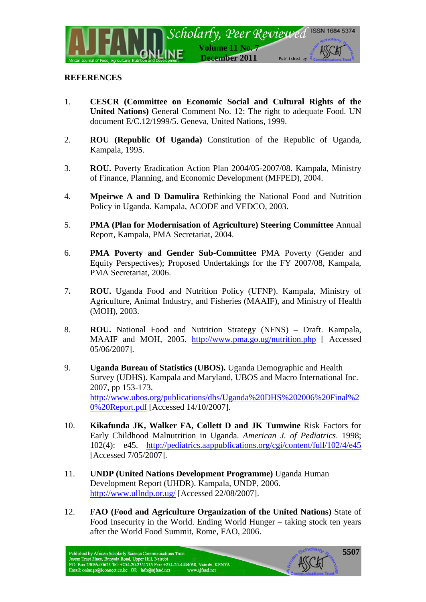

## **REFERENCES**

- 1. **CESCR (Committee on Economic Social and Cultural Rights of the United Nations)** General Comment No. 12: The right to adequate Food. UN document E/C.12/1999/5. Geneva, United Nations, 1999.
- 2. **ROU (Republic Of Uganda)** Constitution of the Republic of Uganda, Kampala, 1995.
- 3. **ROU.** Poverty Eradication Action Plan 2004/05-2007/08. Kampala, Ministry of Finance, Planning, and Economic Development (MFPED), 2004.
- 4. **Mpeirwe A and D Damulira** Rethinking the National Food and Nutrition Policy in Uganda. Kampala, ACODE and VEDCO, 2003.
- 5. **PMA (Plan for Modernisation of Agriculture) Steering Committee** Annual Report, Kampala, PMA Secretariat, 2004.
- 6. **PMA Poverty and Gender Sub-Committee** PMA Poverty (Gender and Equity Perspectives); Proposed Undertakings for the FY 2007/08, Kampala, PMA Secretariat, 2006.
- 7**. ROU.** Uganda Food and Nutrition Policy (UFNP). Kampala, Ministry of Agriculture, Animal Industry, and Fisheries (MAAIF), and Ministry of Health (MOH), 2003.
- 8. **ROU.** National Food and Nutrition Strategy (NFNS) Draft. Kampala, MAAIF and MOH, 2005. <http://www.pma.go.ug/nutrition.php> [ Accessed 05/06/2007].
- 9. **Uganda Bureau of Statistics (UBOS).** Uganda Demographic and Health Survey (UDHS). Kampala and Maryland, UBOS and Macro International Inc. 2007, pp 153-173. [http://www.ubos.org/publications/dhs/Uganda%20DHS%202006%20Final%2](http://www.ubos.org/publications/dhs/Uganda%20DHS%202006%20Final%20%20Report.pdf) [0%20Report.pdf](http://www.ubos.org/publications/dhs/Uganda%20DHS%202006%20Final%20%20Report.pdf) [Accessed 14/10/2007].
- 10. **Kikafunda JK, Walker FA, Collett D and JK Tumwine** Risk Factors for Early Childhood Malnutrition in Uganda. *American J. of Pediatrics*. 1998; 102(4): e45. <http://pediatrics.aappublications.org/cgi/content/full/102/4/e45> [Accessed 7/05/2007].
- 11. **UNDP (United Nations Development Programme)** Uganda Human Development Report (UHDR). Kampala, UNDP, 2006. <http://www.ullndp.or.ug/> [Accessed 22/08/2007].
- 12. **FAO (Food and Agriculture Organization of the United Nations)** State of Food Insecurity in the World. Ending World Hunger – taking stock ten years after the World Food Summit, Rome, FAO, 2006.

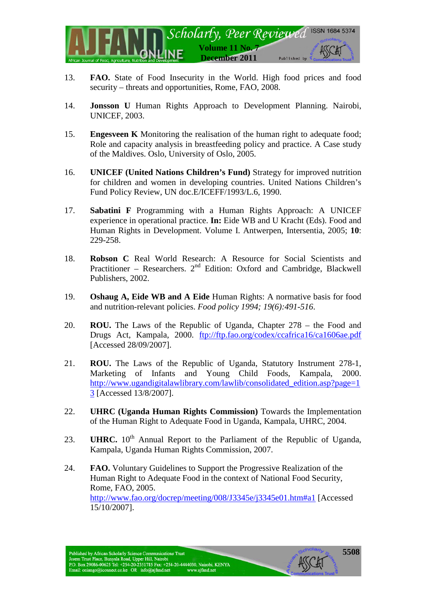

- 13. **FAO.** State of Food Insecurity in the World. High food prices and food security – threats and opportunities, Rome, FAO, 2008.
- 14. **Jonsson U** Human Rights Approach to Development Planning. Nairobi, UNICEF, 2003.
- 15. **Engesveen K** Monitoring the realisation of the human right to adequate food; Role and capacity analysis in breastfeeding policy and practice. A Case study of the Maldives. Oslo, University of Oslo, 2005.
- 16. **UNICEF (United Nations Children's Fund)** Strategy for improved nutrition for children and women in developing countries. United Nations Children's Fund Policy Review, UN doc.E/ICEFF/1993/L.6, 1990.
- 17. **Sabatini F** Programming with a Human Rights Approach: A UNICEF experience in operational practice. **In:** Eide WB and U Kracht (Eds). Food and Human Rights in Development. Volume I. Antwerpen, Intersentia, 2005; **10**: 229-258.
- 18. **Robson C** Real World Research: A Resource for Social Scientists and Practitioner – Researchers.  $2<sup>nd</sup>$  Edition: Oxford and Cambridge, Blackwell Publishers, 2002.
- 19. **Oshaug A, Eide WB and A Eide** Human Rights: A normative basis for food and nutrition-relevant policies. *Food policy 1994; 19(6):491-516*.
- 20. **ROU.** The Laws of the Republic of Uganda, Chapter 278 the Food and Drugs Act, Kampala, 2000. <ftp://ftp.fao.org/codex/ccafrica16/ca1606ae.pdf> [Accessed 28/09/2007].
- 21. **ROU.** The Laws of the Republic of Uganda, Statutory Instrument 278-1, Marketing of Infants and Young Child Foods, Kampala, 2000. [http://www.ugandigitalawlibrary.com/lawlib/consolidated\\_edition.asp?page=1](http://www.ugandigitalawlibrary.com/lawlib/consolidated_edition.asp?page=13) [3](http://www.ugandigitalawlibrary.com/lawlib/consolidated_edition.asp?page=13) [Accessed 13/8/2007].
- 22. **UHRC (Uganda Human Rights Commission)** Towards the Implementation of the Human Right to Adequate Food in Uganda, Kampala, UHRC, 2004.
- 23. **UHRC.** 10<sup>th</sup> Annual Report to the Parliament of the Republic of Uganda, Kampala, Uganda Human Rights Commission, 2007.
- 24. **FAO.** Voluntary Guidelines to Support the Progressive Realization of the Human Right to Adequate Food in the context of National Food Security, Rome, FAO, 2005. <http://www.fao.org/docrep/meeting/008/J3345e/j3345e01.htm#a1> [Accessed 15/10/2007].